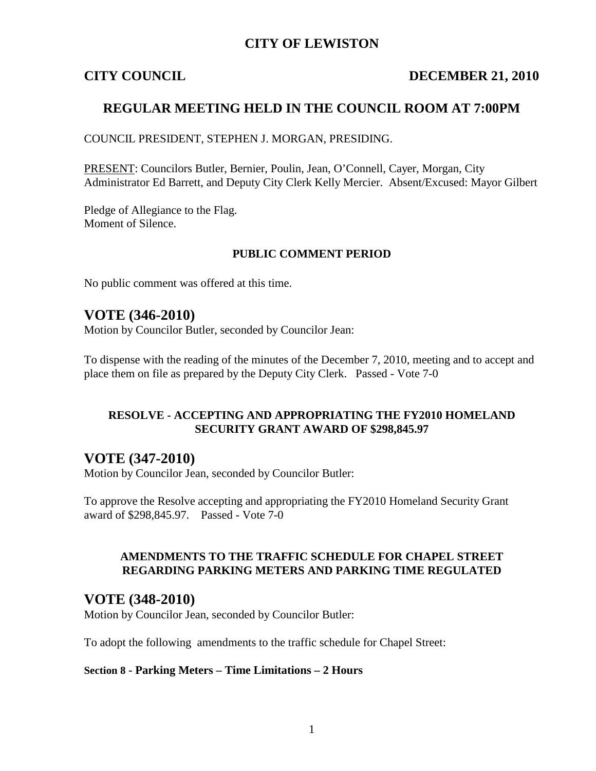# **CITY OF LEWISTON**

# **CITY COUNCIL DECEMBER 21, 2010**

# **REGULAR MEETING HELD IN THE COUNCIL ROOM AT 7:00PM**

COUNCIL PRESIDENT, STEPHEN J. MORGAN, PRESIDING.

PRESENT: Councilors Butler, Bernier, Poulin, Jean, O'Connell, Cayer, Morgan, City Administrator Ed Barrett, and Deputy City Clerk Kelly Mercier. Absent/Excused: Mayor Gilbert

Pledge of Allegiance to the Flag. Moment of Silence.

### **PUBLIC COMMENT PERIOD**

No public comment was offered at this time.

# **VOTE (346-2010)**

Motion by Councilor Butler, seconded by Councilor Jean:

To dispense with the reading of the minutes of the December 7, 2010, meeting and to accept and place them on file as prepared by the Deputy City Clerk. Passed - Vote 7-0

## **RESOLVE - ACCEPTING AND APPROPRIATING THE FY2010 HOMELAND SECURITY GRANT AWARD OF \$298,845.97**

# **VOTE (347-2010)**

Motion by Councilor Jean, seconded by Councilor Butler:

To approve the Resolve accepting and appropriating the FY2010 Homeland Security Grant award of \$298,845.97. Passed - Vote 7-0

### **AMENDMENTS TO THE TRAFFIC SCHEDULE FOR CHAPEL STREET REGARDING PARKING METERS AND PARKING TIME REGULATED**

# **VOTE (348-2010)**

Motion by Councilor Jean, seconded by Councilor Butler:

To adopt the following amendments to the traffic schedule for Chapel Street:

### **Section 8 - Parking Meters – Time Limitations – 2 Hours**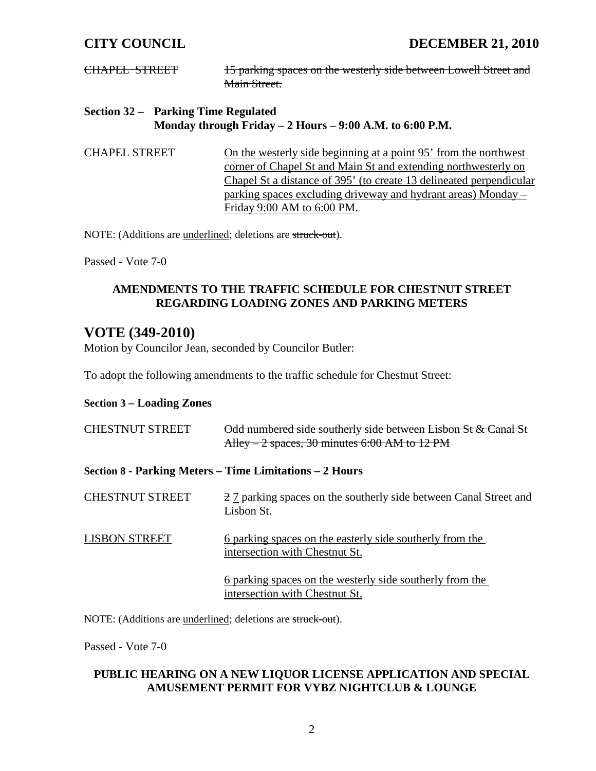CHAPEL STREET 15 parking spaces on the westerly side between Lowell Street and Main Street.

## **Section 32 – Parking Time Regulated Monday through Friday – 2 Hours – 9:00 A.M. to 6:00 P.M.**

CHAPEL STREET On the westerly side beginning at a point 95' from the northwest corner of Chapel St and Main St and extending northwesterly on Chapel St a distance of 395' (to create 13 delineated perpendicular parking spaces excluding driveway and hydrant areas) Monday – Friday 9:00 AM to 6:00 PM.

NOTE: (Additions are underlined; deletions are struck-out).

Passed - Vote 7-0

## **AMENDMENTS TO THE TRAFFIC SCHEDULE FOR CHESTNUT STREET REGARDING LOADING ZONES AND PARKING METERS**

# **VOTE (349-2010)**

Motion by Councilor Jean, seconded by Councilor Butler:

To adopt the following amendments to the traffic schedule for Chestnut Street:

### **Section 3 – Loading Zones**

| <b>CHESTNUT STREET</b>                                  | Odd numbered side southerly side between Lisbon St & Canal St<br>Alley $-2$ spaces, 30 minutes 6:00 AM to 12 PM |
|---------------------------------------------------------|-----------------------------------------------------------------------------------------------------------------|
| Section 8 - Parking Meters – Time Limitations – 2 Hours |                                                                                                                 |
| <b>CHESTNUT STREET</b>                                  | 2.7 parking spaces on the southerly side between Canal Street and<br>Lisbon St.                                 |
| <b>LISBON STREET</b>                                    | 6 parking spaces on the easterly side southerly from the<br>intersection with Chestnut St.                      |
|                                                         | <u>6 parking spaces on the westerly side southerly from the</u><br>intersection with Chestnut St.               |

NOTE: (Additions are underlined; deletions are struck-out).

Passed - Vote 7-0

# **PUBLIC HEARING ON A NEW LIQUOR LICENSE APPLICATION AND SPECIAL AMUSEMENT PERMIT FOR VYBZ NIGHTCLUB & LOUNGE**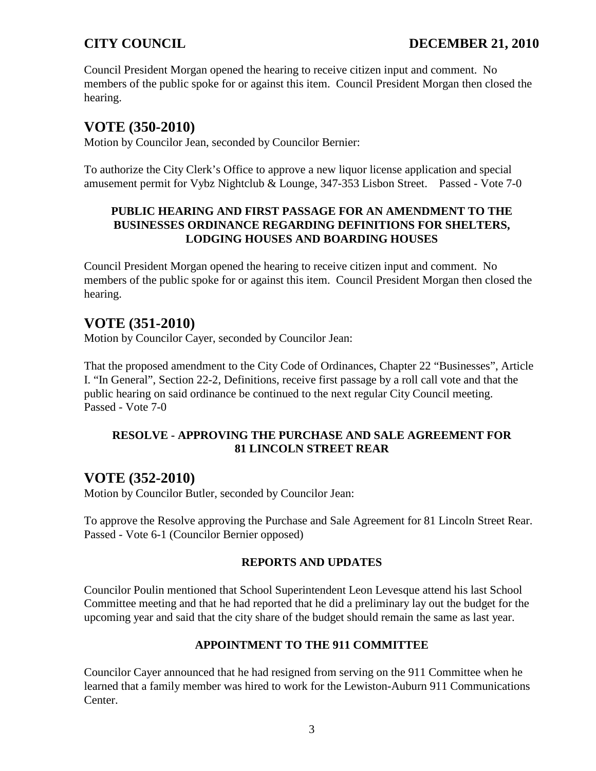Council President Morgan opened the hearing to receive citizen input and comment. No members of the public spoke for or against this item. Council President Morgan then closed the hearing.

# **VOTE (350-2010)**

Motion by Councilor Jean, seconded by Councilor Bernier:

To authorize the City Clerk's Office to approve a new liquor license application and special amusement permit for Vybz Nightclub & Lounge, 347-353 Lisbon Street. Passed - Vote 7-0

## **PUBLIC HEARING AND FIRST PASSAGE FOR AN AMENDMENT TO THE BUSINESSES ORDINANCE REGARDING DEFINITIONS FOR SHELTERS, LODGING HOUSES AND BOARDING HOUSES**

Council President Morgan opened the hearing to receive citizen input and comment. No members of the public spoke for or against this item. Council President Morgan then closed the hearing.

# **VOTE (351-2010)**

Motion by Councilor Cayer, seconded by Councilor Jean:

That the proposed amendment to the City Code of Ordinances, Chapter 22 "Businesses", Article I. "In General", Section 22-2, Definitions, receive first passage by a roll call vote and that the public hearing on said ordinance be continued to the next regular City Council meeting. Passed - Vote 7-0

# **RESOLVE - APPROVING THE PURCHASE AND SALE AGREEMENT FOR 81 LINCOLN STREET REAR**

# **VOTE (352-2010)**

Motion by Councilor Butler, seconded by Councilor Jean:

To approve the Resolve approving the Purchase and Sale Agreement for 81 Lincoln Street Rear. Passed - Vote 6-1 (Councilor Bernier opposed)

# **REPORTS AND UPDATES**

Councilor Poulin mentioned that School Superintendent Leon Levesque attend his last School Committee meeting and that he had reported that he did a preliminary lay out the budget for the upcoming year and said that the city share of the budget should remain the same as last year.

# **APPOINTMENT TO THE 911 COMMITTEE**

Councilor Cayer announced that he had resigned from serving on the 911 Committee when he learned that a family member was hired to work for the Lewiston-Auburn 911 Communications Center.